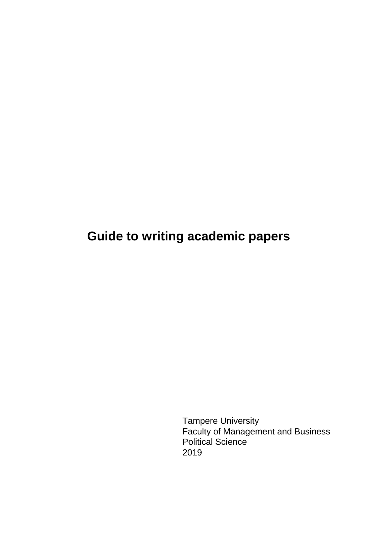# **Guide to writing academic papers**

Tampere University Faculty of Management and Business Political Science 2019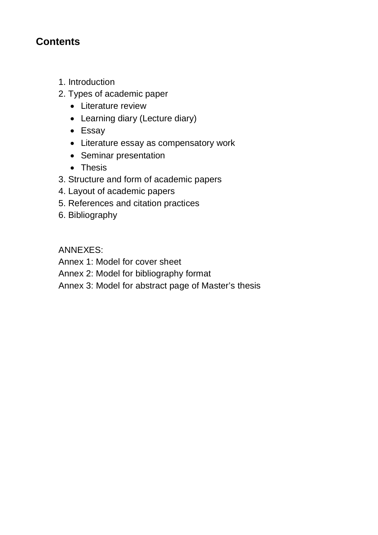## **Contents**

- 1. Introduction
- 2. Types of academic paper
	- Literature review
	- Learning diary (Lecture diary)
	- Essay
	- Literature essay as compensatory work
	- Seminar presentation
	- Thesis
- 3. Structure and form of academic papers
- 4. Layout of academic papers
- 5. References and citation practices
- 6. Bibliography

ANNEXES:

Annex 1: Model for cover sheet

Annex 2: Model for bibliography format

Annex 3: Model for abstract page of Master's thesis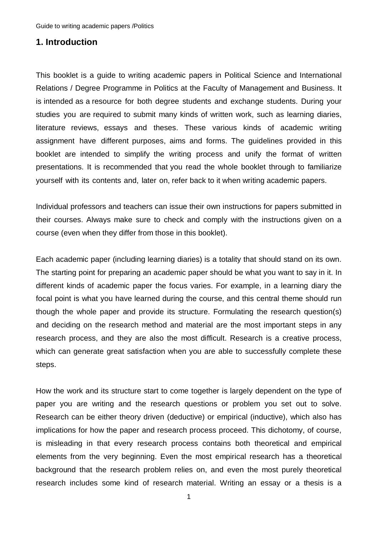#### **1. Introduction**

This booklet is a guide to writing academic papers in Political Science and International Relations / Degree Programme in Politics at the Faculty of Management and Business. It is intended as a resource for both degree students and exchange students. During your studies you are required to submit many kinds of written work, such as learning diaries, literature reviews, essays and theses. These various kinds of academic writing assignment have different purposes, aims and forms. The guidelines provided in this booklet are intended to simplify the writing process and unify the format of written presentations. It is recommended that you read the whole booklet through to familiarize yourself with its contents and, later on, refer back to it when writing academic papers.

Individual professors and teachers can issue their own instructions for papers submitted in their courses. Always make sure to check and comply with the instructions given on a course (even when they differ from those in this booklet).

Each academic paper (including learning diaries) is a totality that should stand on its own. The starting point for preparing an academic paper should be what you want to say in it. In different kinds of academic paper the focus varies. For example, in a learning diary the focal point is what you have learned during the course, and this central theme should run though the whole paper and provide its structure. Formulating the research question(s) and deciding on the research method and material are the most important steps in any research process, and they are also the most difficult. Research is a creative process, which can generate great satisfaction when you are able to successfully complete these steps.

How the work and its structure start to come together is largely dependent on the type of paper you are writing and the research questions or problem you set out to solve. Research can be either theory driven (deductive) or empirical (inductive), which also has implications for how the paper and research process proceed. This dichotomy, of course, is misleading in that every research process contains both theoretical and empirical elements from the very beginning. Even the most empirical research has a theoretical background that the research problem relies on, and even the most purely theoretical research includes some kind of research material. Writing an essay or a thesis is a

1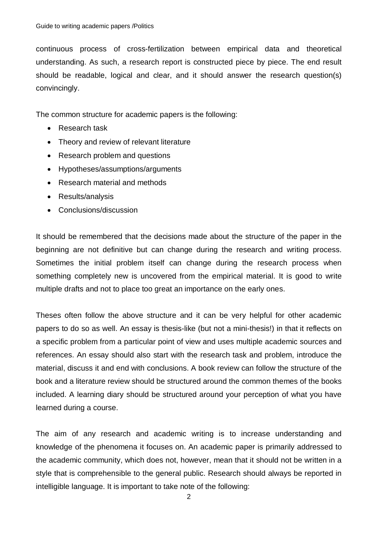continuous process of cross-fertilization between empirical data and theoretical understanding. As such, a research report is constructed piece by piece. The end result should be readable, logical and clear, and it should answer the research question(s) convincingly.

The common structure for academic papers is the following:

- Research task
- Theory and review of relevant literature
- Research problem and questions
- Hypotheses/assumptions/arguments
- Research material and methods
- Results/analysis
- Conclusions/discussion

It should be remembered that the decisions made about the structure of the paper in the beginning are not definitive but can change during the research and writing process. Sometimes the initial problem itself can change during the research process when something completely new is uncovered from the empirical material. It is good to write multiple drafts and not to place too great an importance on the early ones.

Theses often follow the above structure and it can be very helpful for other academic papers to do so as well. An essay is thesis-like (but not a mini-thesis!) in that it reflects on a specific problem from a particular point of view and uses multiple academic sources and references. An essay should also start with the research task and problem, introduce the material, discuss it and end with conclusions. A book review can follow the structure of the book and a literature review should be structured around the common themes of the books included. A learning diary should be structured around your perception of what you have learned during a course.

The aim of any research and academic writing is to increase understanding and knowledge of the phenomena it focuses on. An academic paper is primarily addressed to the academic community, which does not, however, mean that it should not be written in a style that is comprehensible to the general public. Research should always be reported in intelligible language. It is important to take note of the following: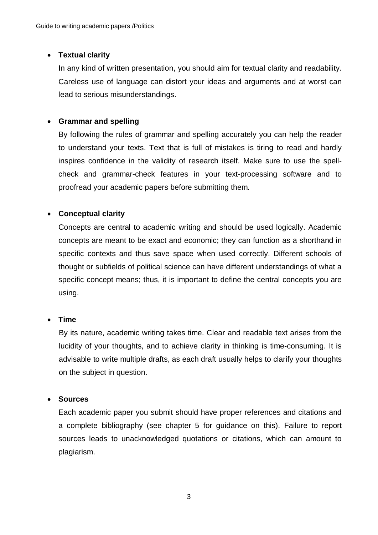## x **Textual clarity**

In any kind of written presentation, you should aim for textual clarity and readability. Careless use of language can distort your ideas and arguments and at worst can lead to serious misunderstandings.

## x **Grammar and spelling**

By following the rules of grammar and spelling accurately you can help the reader to understand your texts. Text that is full of mistakes is tiring to read and hardly inspires confidence in the validity of research itself. Make sure to use the spellcheck and grammar-check features in your text-processing software and to proofread your academic papers before submitting them.

## x **Conceptual clarity**

Concepts are central to academic writing and should be used logically. Academic concepts are meant to be exact and economic; they can function as a shorthand in specific contexts and thus save space when used correctly. Different schools of thought or subfields of political science can have different understandings of what a specific concept means; thus, it is important to define the central concepts you are using.

## x **Time**

By its nature, academic writing takes time. Clear and readable text arises from the lucidity of your thoughts, and to achieve clarity in thinking is time-consuming. It is advisable to write multiple drafts, as each draft usually helps to clarify your thoughts on the subject in question.

## x **Sources**

Each academic paper you submit should have proper references and citations and a complete bibliography (see chapter 5 for guidance on this). Failure to report sources leads to unacknowledged quotations or citations, which can amount to plagiarism.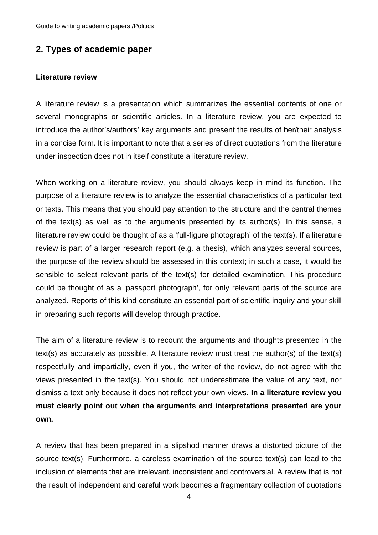## **2. Types of academic paper**

#### **Literature review**

A literature review is a presentation which summarizes the essential contents of one or several monographs or scientific articles. In a literature review, you are expected to introduce the author's/authors' key arguments and present the results of her/their analysis in a concise form. It is important to note that a series of direct quotations from the literature under inspection does not in itself constitute a literature review.

When working on a literature review, you should always keep in mind its function. The purpose of a literature review is to analyze the essential characteristics of a particular text or texts. This means that you should pay attention to the structure and the central themes of the text(s) as well as to the arguments presented by its author(s). In this sense, a literature review could be thought of as a 'full-figure photograph' of the text(s). If a literature review is part of a larger research report (e.g. a thesis), which analyzes several sources, the purpose of the review should be assessed in this context; in such a case, it would be sensible to select relevant parts of the text(s) for detailed examination. This procedure could be thought of as a 'passport photograph', for only relevant parts of the source are analyzed. Reports of this kind constitute an essential part of scientific inquiry and your skill in preparing such reports will develop through practice.

The aim of a literature review is to recount the arguments and thoughts presented in the text(s) as accurately as possible. A literature review must treat the author(s) of the text(s) respectfully and impartially, even if you, the writer of the review, do not agree with the views presented in the text(s). You should not underestimate the value of any text, nor dismiss a text only because it does not reflect your own views. **In a literature review you must clearly point out when the arguments and interpretations presented are your own.**

A review that has been prepared in a slipshod manner draws a distorted picture of the source text(s). Furthermore, a careless examination of the source text(s) can lead to the inclusion of elements that are irrelevant, inconsistent and controversial. A review that is not the result of independent and careful work becomes a fragmentary collection of quotations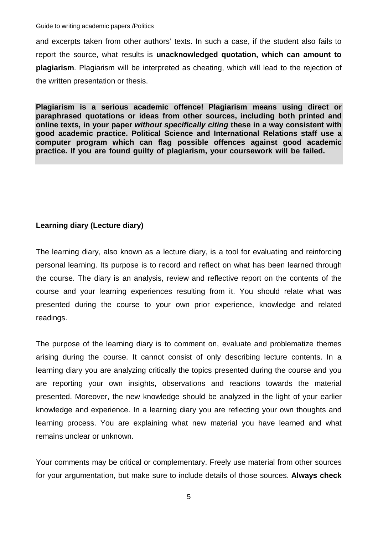and excerpts taken from other authors' texts. In such a case, if the student also fails to report the source, what results is **unacknowledged quotation, which can amount to plagiarism**. Plagiarism will be interpreted as cheating, which will lead to the rejection of the written presentation or thesis.

**Plagiarism is a serious academic offence! Plagiarism means using direct or paraphrased quotations or ideas from other sources, including both printed and online texts, in your paper** *without specifically citing* **these in a way consistent with good academic practice. Political Science and International Relations staff use a computer program which can flag possible offences against good academic practice. If you are found guilty of plagiarism, your coursework will be failed.** 

## **Learning diary (Lecture diary)**

The learning diary, also known as a lecture diary, is a tool for evaluating and reinforcing personal learning. Its purpose is to record and reflect on what has been learned through the course. The diary is an analysis, review and reflective report on the contents of the course and your learning experiences resulting from it. You should relate what was presented during the course to your own prior experience, knowledge and related readings.

The purpose of the learning diary is to comment on, evaluate and problematize themes arising during the course. It cannot consist of only describing lecture contents. In a learning diary you are analyzing critically the topics presented during the course and you are reporting your own insights, observations and reactions towards the material presented. Moreover, the new knowledge should be analyzed in the light of your earlier knowledge and experience. In a learning diary you are reflecting your own thoughts and learning process. You are explaining what new material you have learned and what remains unclear or unknown.

Your comments may be critical or complementary. Freely use material from other sources for your argumentation, but make sure to include details of those sources. **Always check** 

5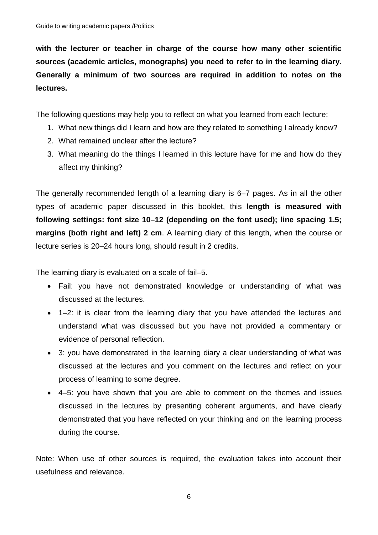**with the lecturer or teacher in charge of the course how many other scientific sources (academic articles, monographs) you need to refer to in the learning diary. Generally a minimum of two sources are required in addition to notes on the lectures.** 

The following questions may help you to reflect on what you learned from each lecture:

- 1. What new things did I learn and how are they related to something I already know?
- 2. What remained unclear after the lecture?
- 3. What meaning do the things I learned in this lecture have for me and how do they affect my thinking?

The generally recommended length of a learning diary is 6–7 pages. As in all the other types of academic paper discussed in this booklet, this **length is measured with following settings: font size 10–12 (depending on the font used); line spacing 1.5; margins (both right and left) 2 cm**. A learning diary of this length, when the course or lecture series is 20–24 hours long, should result in 2 credits.

The learning diary is evaluated on a scale of fail–5.

- Fail: you have not demonstrated knowledge or understanding of what was discussed at the lectures.
- 1–2: it is clear from the learning diary that you have attended the lectures and understand what was discussed but you have not provided a commentary or evidence of personal reflection.
- 3: you have demonstrated in the learning diary a clear understanding of what was discussed at the lectures and you comment on the lectures and reflect on your process of learning to some degree.
- x 4–5: you have shown that you are able to comment on the themes and issues discussed in the lectures by presenting coherent arguments, and have clearly demonstrated that you have reflected on your thinking and on the learning process during the course.

Note: When use of other sources is required, the evaluation takes into account their usefulness and relevance.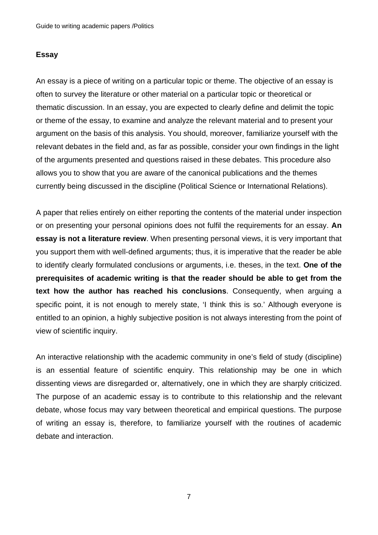### **Essay**

An essay is a piece of writing on a particular topic or theme. The objective of an essay is often to survey the literature or other material on a particular topic or theoretical or thematic discussion. In an essay, you are expected to clearly define and delimit the topic or theme of the essay, to examine and analyze the relevant material and to present your argument on the basis of this analysis. You should, moreover, familiarize yourself with the relevant debates in the field and, as far as possible, consider your own findings in the light of the arguments presented and questions raised in these debates. This procedure also allows you to show that you are aware of the canonical publications and the themes currently being discussed in the discipline (Political Science or International Relations).

A paper that relies entirely on either reporting the contents of the material under inspection or on presenting your personal opinions does not fulfil the requirements for an essay. **An essay is not a literature review**. When presenting personal views, it is very important that you support them with well-defined arguments; thus, it is imperative that the reader be able to identify clearly formulated conclusions or arguments, i.e. theses, in the text. **One of the prerequisites of academic writing is that the reader should be able to get from the text how the author has reached his conclusions**. Consequently, when arguing a specific point, it is not enough to merely state, 'I think this is so.' Although everyone is entitled to an opinion, a highly subjective position is not always interesting from the point of view of scientific inquiry.

An interactive relationship with the academic community in one's field of study (discipline) is an essential feature of scientific enquiry. This relationship may be one in which dissenting views are disregarded or, alternatively, one in which they are sharply criticized. The purpose of an academic essay is to contribute to this relationship and the relevant debate, whose focus may vary between theoretical and empirical questions. The purpose of writing an essay is, therefore, to familiarize yourself with the routines of academic debate and interaction.

7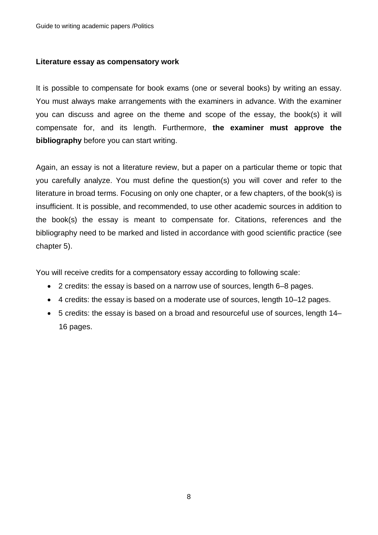#### **Literature essay as compensatory work**

It is possible to compensate for book exams (one or several books) by writing an essay. You must always make arrangements with the examiners in advance. With the examiner you can discuss and agree on the theme and scope of the essay, the book(s) it will compensate for, and its length. Furthermore, **the examiner must approve the bibliography** before you can start writing.

Again, an essay is not a literature review, but a paper on a particular theme or topic that you carefully analyze. You must define the question(s) you will cover and refer to the literature in broad terms. Focusing on only one chapter, or a few chapters, of the book(s) is insufficient. It is possible, and recommended, to use other academic sources in addition to the book(s) the essay is meant to compensate for. Citations, references and the bibliography need to be marked and listed in accordance with good scientific practice (see chapter 5).

You will receive credits for a compensatory essay according to following scale:

- 2 credits: the essay is based on a narrow use of sources, length 6–8 pages.
- 4 credits: the essay is based on a moderate use of sources, length 10–12 pages.
- 5 credits: the essay is based on a broad and resourceful use of sources, length 14– 16 pages.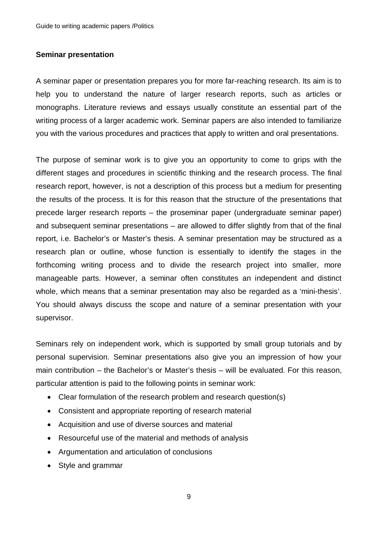#### **Seminar presentation**

A seminar paper or presentation prepares you for more far-reaching research. Its aim is to help you to understand the nature of larger research reports, such as articles or monographs. Literature reviews and essays usually constitute an essential part of the writing process of a larger academic work. Seminar papers are also intended to familiarize you with the various procedures and practices that apply to written and oral presentations.

The purpose of seminar work is to give you an opportunity to come to grips with the different stages and procedures in scientific thinking and the research process. The final research report, however, is not a description of this process but a medium for presenting the results of the process. It is for this reason that the structure of the presentations that precede larger research reports – the proseminar paper (undergraduate seminar paper) and subsequent seminar presentations – are allowed to differ slightly from that of the final report, i.e. Bachelor's or Master's thesis. A seminar presentation may be structured as a research plan or outline, whose function is essentially to identify the stages in the forthcoming writing process and to divide the research project into smaller, more manageable parts. However, a seminar often constitutes an independent and distinct whole, which means that a seminar presentation may also be regarded as a 'mini-thesis'. You should always discuss the scope and nature of a seminar presentation with your supervisor.

Seminars rely on independent work, which is supported by small group tutorials and by personal supervision. Seminar presentations also give you an impression of how your main contribution – the Bachelor's or Master's thesis – will be evaluated. For this reason, particular attention is paid to the following points in seminar work:

- Clear formulation of the research problem and research question(s)
- Consistent and appropriate reporting of research material
- Acquisition and use of diverse sources and material
- Resourceful use of the material and methods of analysis
- Argumentation and articulation of conclusions
- Style and grammar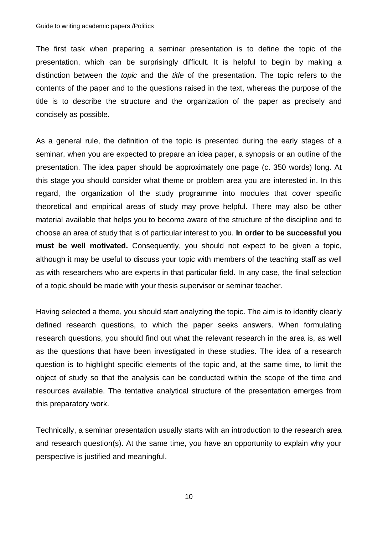The first task when preparing a seminar presentation is to define the topic of the presentation, which can be surprisingly difficult. It is helpful to begin by making a distinction between the *topic* and the *title* of the presentation. The topic refers to the contents of the paper and to the questions raised in the text, whereas the purpose of the title is to describe the structure and the organization of the paper as precisely and concisely as possible.

As a general rule, the definition of the topic is presented during the early stages of a seminar, when you are expected to prepare an idea paper, a synopsis or an outline of the presentation. The idea paper should be approximately one page (c. 350 words) long. At this stage you should consider what theme or problem area you are interested in. In this regard, the organization of the study programme into modules that cover specific theoretical and empirical areas of study may prove helpful. There may also be other material available that helps you to become aware of the structure of the discipline and to choose an area of study that is of particular interest to you. **In order to be successful you must be well motivated.** Consequently, you should not expect to be given a topic, although it may be useful to discuss your topic with members of the teaching staff as well as with researchers who are experts in that particular field. In any case, the final selection of a topic should be made with your thesis supervisor or seminar teacher.

Having selected a theme, you should start analyzing the topic. The aim is to identify clearly defined research questions, to which the paper seeks answers. When formulating research questions, you should find out what the relevant research in the area is, as well as the questions that have been investigated in these studies. The idea of a research question is to highlight specific elements of the topic and, at the same time, to limit the object of study so that the analysis can be conducted within the scope of the time and resources available. The tentative analytical structure of the presentation emerges from this preparatory work.

Technically, a seminar presentation usually starts with an introduction to the research area and research question(s). At the same time, you have an opportunity to explain why your perspective is justified and meaningful.

10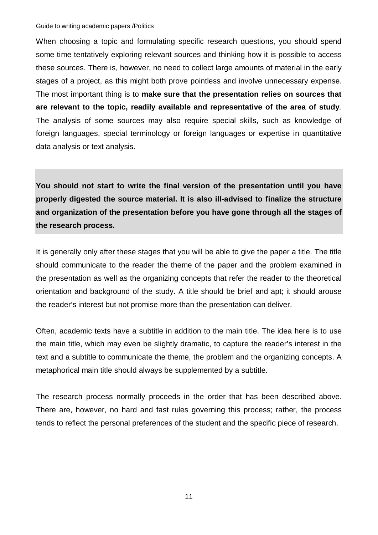When choosing a topic and formulating specific research questions, you should spend some time tentatively exploring relevant sources and thinking how it is possible to access these sources. There is, however, no need to collect large amounts of material in the early stages of a project, as this might both prove pointless and involve unnecessary expense. The most important thing is to **make sure that the presentation relies on sources that are relevant to the topic, readily available and representative of the area of study***.* The analysis of some sources may also require special skills, such as knowledge of foreign languages, special terminology or foreign languages or expertise in quantitative data analysis or text analysis.

**You should not start to write the final version of the presentation until you have properly digested the source material. It is also ill-advised to finalize the structure and organization of the presentation before you have gone through all the stages of the research process.** 

It is generally only after these stages that you will be able to give the paper a title. The title should communicate to the reader the theme of the paper and the problem examined in the presentation as well as the organizing concepts that refer the reader to the theoretical orientation and background of the study. A title should be brief and apt; it should arouse the reader's interest but not promise more than the presentation can deliver.

Often, academic texts have a subtitle in addition to the main title. The idea here is to use the main title, which may even be slightly dramatic, to capture the reader's interest in the text and a subtitle to communicate the theme, the problem and the organizing concepts. A metaphorical main title should always be supplemented by a subtitle.

The research process normally proceeds in the order that has been described above. There are, however, no hard and fast rules governing this process; rather, the process tends to reflect the personal preferences of the student and the specific piece of research.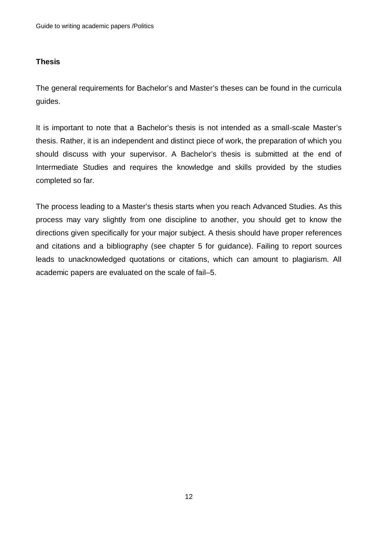## **Thesis**

The general requirements for Bachelor's and Master's theses can be found in the curricula guides.

It is important to note that a Bachelor's thesis is not intended as a small-scale Master's thesis. Rather, it is an independent and distinct piece of work, the preparation of which you should discuss with your supervisor. A Bachelor's thesis is submitted at the end of Intermediate Studies and requires the knowledge and skills provided by the studies completed so far.

The process leading to a Master's thesis starts when you reach Advanced Studies. As this process may vary slightly from one discipline to another, you should get to know the directions given specifically for your major subject. A thesis should have proper references and citations and a bibliography (see chapter 5 for guidance). Failing to report sources leads to unacknowledged quotations or citations, which can amount to plagiarism. All academic papers are evaluated on the scale of fail–5.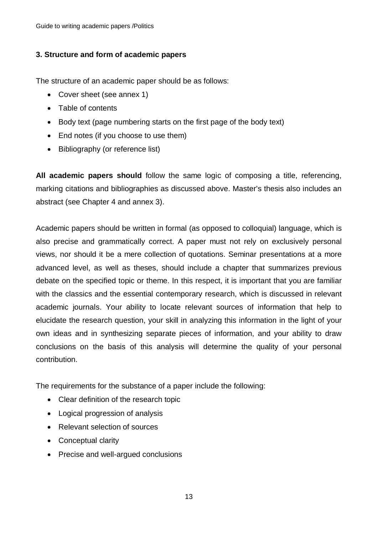## **3. Structure and form of academic papers**

The structure of an academic paper should be as follows:

- Cover sheet (see annex 1)
- Table of contents
- Body text (page numbering starts on the first page of the body text)
- $\bullet$  End notes (if you choose to use them)
- $\bullet$  Bibliography (or reference list)

**All academic papers should** follow the same logic of composing a title, referencing, marking citations and bibliographies as discussed above. Master's thesis also includes an abstract (see Chapter 4 and annex 3).

Academic papers should be written in formal (as opposed to colloquial) language, which is also precise and grammatically correct. A paper must not rely on exclusively personal views, nor should it be a mere collection of quotations. Seminar presentations at a more advanced level, as well as theses, should include a chapter that summarizes previous debate on the specified topic or theme. In this respect, it is important that you are familiar with the classics and the essential contemporary research, which is discussed in relevant academic journals. Your ability to locate relevant sources of information that help to elucidate the research question, your skill in analyzing this information in the light of your own ideas and in synthesizing separate pieces of information, and your ability to draw conclusions on the basis of this analysis will determine the quality of your personal contribution.

The requirements for the substance of a paper include the following:

- Clear definition of the research topic
- Logical progression of analysis
- Relevant selection of sources
- Conceptual clarity
- Precise and well-argued conclusions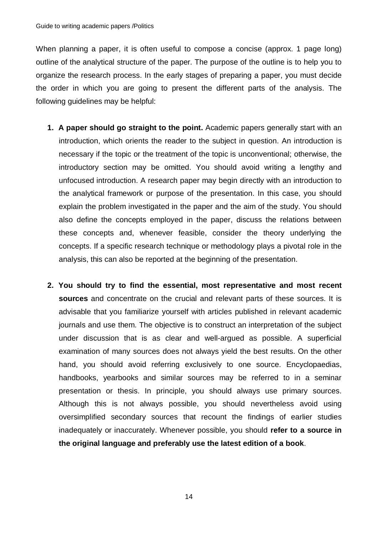When planning a paper, it is often useful to compose a concise (approx. 1 page long) outline of the analytical structure of the paper. The purpose of the outline is to help you to organize the research process. In the early stages of preparing a paper, you must decide the order in which you are going to present the different parts of the analysis. The following guidelines may be helpful:

- **1. A paper should go straight to the point.** Academic papers generally start with an introduction, which orients the reader to the subject in question. An introduction is necessary if the topic or the treatment of the topic is unconventional; otherwise, the introductory section may be omitted. You should avoid writing a lengthy and unfocused introduction. A research paper may begin directly with an introduction to the analytical framework or purpose of the presentation. In this case, you should explain the problem investigated in the paper and the aim of the study. You should also define the concepts employed in the paper, discuss the relations between these concepts and, whenever feasible, consider the theory underlying the concepts. If a specific research technique or methodology plays a pivotal role in the analysis, this can also be reported at the beginning of the presentation.
- **2. You should try to find the essential, most representative and most recent sources** and concentrate on the crucial and relevant parts of these sources. It is advisable that you familiarize yourself with articles published in relevant academic journals and use them. The objective is to construct an interpretation of the subject under discussion that is as clear and well-argued as possible. A superficial examination of many sources does not always yield the best results. On the other hand, you should avoid referring exclusively to one source. Encyclopaedias, handbooks, yearbooks and similar sources may be referred to in a seminar presentation or thesis. In principle, you should always use primary sources. Although this is not always possible, you should nevertheless avoid using oversimplified secondary sources that recount the findings of earlier studies inadequately or inaccurately. Whenever possible, you should **refer to a source in the original language and preferably use the latest edition of a book**.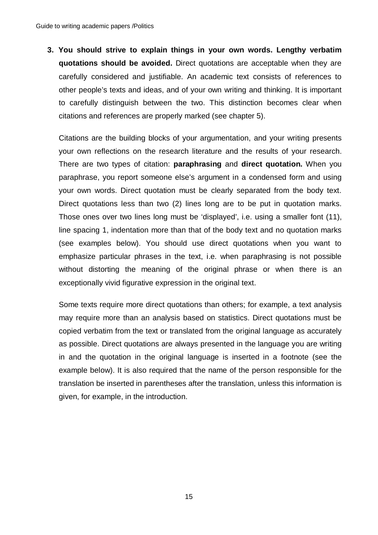**3. You should strive to explain things in your own words. Lengthy verbatim quotations should be avoided.** Direct quotations are acceptable when they are carefully considered and justifiable. An academic text consists of references to other people's texts and ideas, and of your own writing and thinking. It is important to carefully distinguish between the two. This distinction becomes clear when citations and references are properly marked (see chapter 5).

Citations are the building blocks of your argumentation, and your writing presents your own reflections on the research literature and the results of your research. There are two types of citation: **paraphrasing** and **direct quotation.** When you paraphrase, you report someone else's argument in a condensed form and using your own words. Direct quotation must be clearly separated from the body text. Direct quotations less than two (2) lines long are to be put in quotation marks. Those ones over two lines long must be 'displayed', i.e. using a smaller font (11), line spacing 1, indentation more than that of the body text and no quotation marks (see examples below). You should use direct quotations when you want to emphasize particular phrases in the text, i.e. when paraphrasing is not possible without distorting the meaning of the original phrase or when there is an exceptionally vivid figurative expression in the original text.

Some texts require more direct quotations than others; for example, a text analysis may require more than an analysis based on statistics. Direct quotations must be copied verbatim from the text or translated from the original language as accurately as possible. Direct quotations are always presented in the language you are writing in and the quotation in the original language is inserted in a footnote (see the example below). It is also required that the name of the person responsible for the translation be inserted in parentheses after the translation, unless this information is given, for example, in the introduction.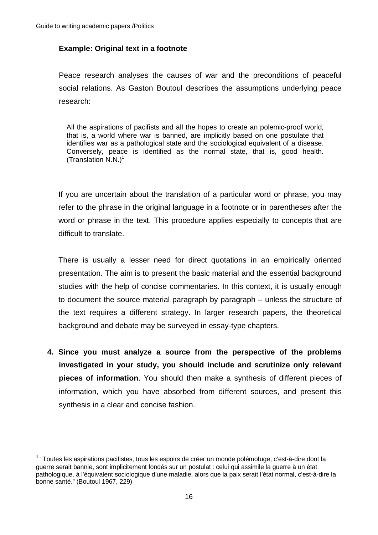<u>.</u>

## **Example: Original text in a footnote**

Peace research analyses the causes of war and the preconditions of peaceful social relations. As Gaston Boutoul describes the assumptions underlying peace research:

All the aspirations of pacifists and all the hopes to create an polemic-proof world, that is, a world where war is banned, are implicitly based on one postulate that identifies war as a pathological state and the sociological equivalent of a disease. Conversely, peace is identified as the normal state, that is, good health. (Translation  $N.N.$ )<sup>1</sup>

If you are uncertain about the translation of a particular word or phrase, you may refer to the phrase in the original language in a footnote or in parentheses after the word or phrase in the text. This procedure applies especially to concepts that are difficult to translate.

There is usually a lesser need for direct quotations in an empirically oriented presentation. The aim is to present the basic material and the essential background studies with the help of concise commentaries. In this context, it is usually enough to document the source material paragraph by paragraph – unless the structure of the text requires a different strategy. In larger research papers, the theoretical background and debate may be surveyed in essay-type chapters.

**4. Since you must analyze a source from the perspective of the problems investigated in your study, you should include and scrutinize only relevant pieces of information**. You should then make a synthesis of different pieces of information, which you have absorbed from different sources, and present this synthesis in a clear and concise fashion.

 $<sup>1</sup>$  "Toutes les aspirations pacifistes, tous les espoirs de créer un monde polémofuge, c'est-à-dire dont la</sup> guerre serait bannie, sont implicitement fondés sur un postulat : celui qui assimile la guerre à un état pathologique, à l'équivalent sociologique d'une maladie, alors que la paix serait l'état normal, c'est-à-dire la bonne santé." (Boutoul 1967, 229)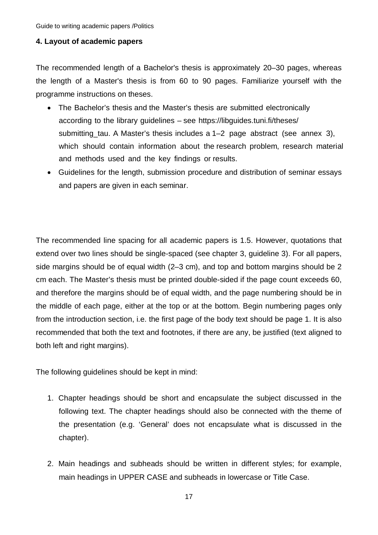#### **4. Layout of academic papers**

The recommended length of a Bachelor's thesis is approximately 20–30 pages, whereas the length of a Master's thesis is from 60 to 90 pages. Familiarize yourself with the programme instructions on theses.

- The Bachelor's thesis and the Master's thesis are submitted electronically according to the library guidelines – see https://libguides.tuni.fi/theses/ submitting\_tau. A Master's thesis includes a 1–2 page abstract (see annex 3), which should contain information about the research problem, research material and methods used and the key findings or results.
- Guidelines for the length, submission procedure and distribution of seminar essays and papers are given in each seminar.

The recommended line spacing for all academic papers is 1.5. However, quotations that extend over two lines should be single-spaced (see chapter 3, guideline 3). For all papers, side margins should be of equal width (2–3 cm), and top and bottom margins should be 2 cm each. The Master's thesis must be printed double-sided if the page count exceeds 60, and therefore the margins should be of equal width, and the page numbering should be in the middle of each page, either at the top or at the bottom. Begin numbering pages only from the introduction section, i.e. the first page of the body text should be page 1. It is also recommended that both the text and footnotes, if there are any, be justified (text aligned to both left and right margins).

The following guidelines should be kept in mind:

- 1. Chapter headings should be short and encapsulate the subject discussed in the following text. The chapter headings should also be connected with the theme of the presentation (e.g. 'General' does not encapsulate what is discussed in the chapter).
- 2. Main headings and subheads should be written in different styles; for example, main headings in UPPER CASE and subheads in lowercase or Title Case.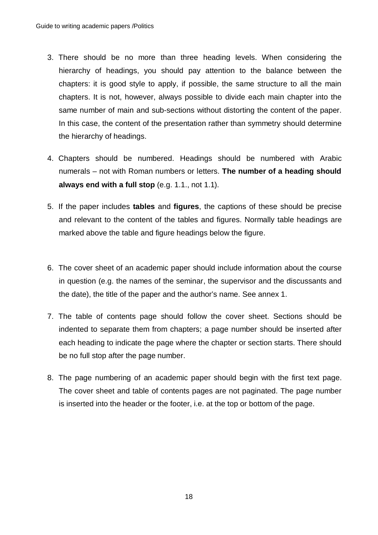- 3. There should be no more than three heading levels. When considering the hierarchy of headings, you should pay attention to the balance between the chapters: it is good style to apply, if possible, the same structure to all the main chapters. It is not, however, always possible to divide each main chapter into the same number of main and sub-sections without distorting the content of the paper. In this case, the content of the presentation rather than symmetry should determine the hierarchy of headings.
- 4. Chapters should be numbered. Headings should be numbered with Arabic numerals – not with Roman numbers or letters. **The number of a heading should always end with a full stop** (e.g. 1.1., not 1.1).
- 5. If the paper includes **tables** and **figures**, the captions of these should be precise and relevant to the content of the tables and figures. Normally table headings are marked above the table and figure headings below the figure.
- 6. The cover sheet of an academic paper should include information about the course in question (e.g. the names of the seminar, the supervisor and the discussants and the date), the title of the paper and the author's name. See annex 1.
- 7. The table of contents page should follow the cover sheet. Sections should be indented to separate them from chapters; a page number should be inserted after each heading to indicate the page where the chapter or section starts. There should be no full stop after the page number.
- 8. The page numbering of an academic paper should begin with the first text page. The cover sheet and table of contents pages are not paginated. The page number is inserted into the header or the footer, i.e. at the top or bottom of the page.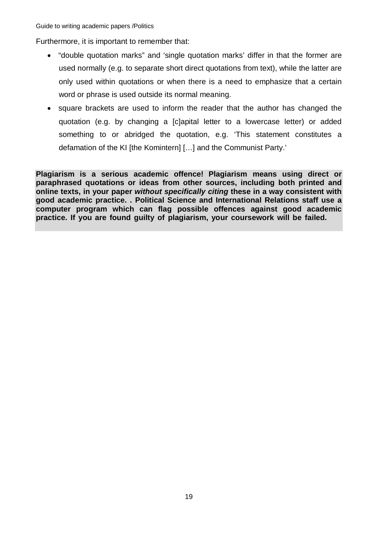Furthermore, it is important to remember that:

- x "double quotation marks" and 'single quotation marks' differ in that the former are used normally (e.g. to separate short direct quotations from text), while the latter are only used within quotations or when there is a need to emphasize that a certain word or phrase is used outside its normal meaning.
- square brackets are used to inform the reader that the author has changed the quotation (e.g. by changing a [c]apital letter to a lowercase letter) or added something to or abridged the quotation, e.g. 'This statement constitutes a defamation of the KI [the Komintern] […] and the Communist Party.'

**Plagiarism is a serious academic offence! Plagiarism means using direct or paraphrased quotations or ideas from other sources, including both printed and online texts, in your paper** *without specifically citing* **these in a way consistent with good academic practice. . Political Science and International Relations staff use a computer program which can flag possible offences against good academic practice. If you are found guilty of plagiarism, your coursework will be failed.**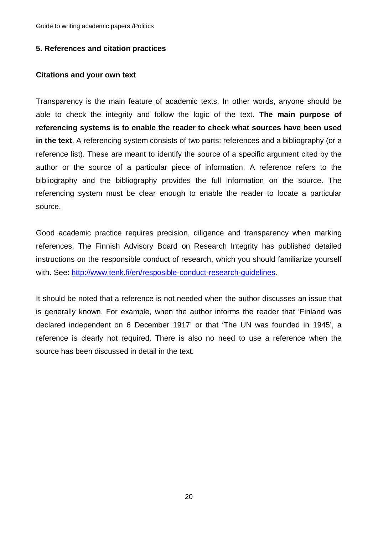#### **5. References and citation practices**

#### **Citations and your own text**

Transparency is the main feature of academic texts. In other words, anyone should be able to check the integrity and follow the logic of the text. **The main purpose of referencing systems is to enable the reader to check what sources have been used in the text**. A referencing system consists of two parts: references and a bibliography (or a reference list). These are meant to identify the source of a specific argument cited by the author or the source of a particular piece of information. A reference refers to the bibliography and the bibliography provides the full information on the source. The referencing system must be clear enough to enable the reader to locate a particular source.

Good academic practice requires precision, diligence and transparency when marking references. The Finnish Advisory Board on Research Integrity has published detailed instructions on the responsible conduct of research, which you should familiarize yourself with. See: http://www.tenk.fi/en/resposible-conduct-research-guidelines.

It should be noted that a reference is not needed when the author discusses an issue that is generally known. For example, when the author informs the reader that 'Finland was declared independent on 6 December 1917' or that 'The UN was founded in 1945', a reference is clearly not required. There is also no need to use a reference when the source has been discussed in detail in the text.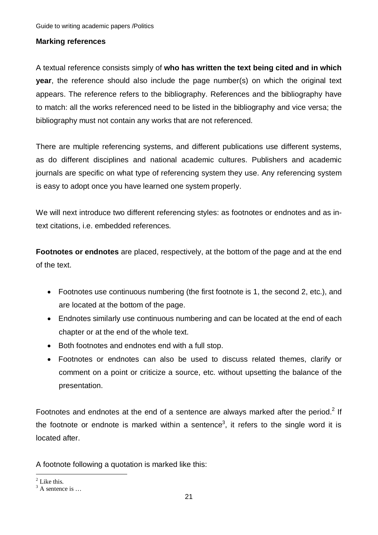### **Marking references**

A textual reference consists simply of **who has written the text being cited and in which year**, the reference should also include the page number(s) on which the original text appears. The reference refers to the bibliography. References and the bibliography have to match: all the works referenced need to be listed in the bibliography and vice versa; the bibliography must not contain any works that are not referenced.

There are multiple referencing systems, and different publications use different systems, as do different disciplines and national academic cultures. Publishers and academic journals are specific on what type of referencing system they use. Any referencing system is easy to adopt once you have learned one system properly.

We will next introduce two different referencing styles: as footnotes or endnotes and as intext citations, i.e. embedded references.

**Footnotes or endnotes** are placed, respectively, at the bottom of the page and at the end of the text.

- Footnotes use continuous numbering (the first footnote is 1, the second 2, etc.), and are located at the bottom of the page.
- Endnotes similarly use continuous numbering and can be located at the end of each chapter or at the end of the whole text.
- Both footnotes and endnotes end with a full stop.
- Footnotes or endnotes can also be used to discuss related themes, clarify or comment on a point or criticize a source, etc. without upsetting the balance of the presentation.

Footnotes and endnotes at the end of a sentence are always marked after the period.<sup>2</sup> If the footnote or endnote is marked within a sentence<sup>3</sup>, it refers to the single word it is located after.

A footnote following a quotation is marked like this:

<sup>&</sup>lt;u>.</u>  $2$  Like this.

 $3$  A sentence is ...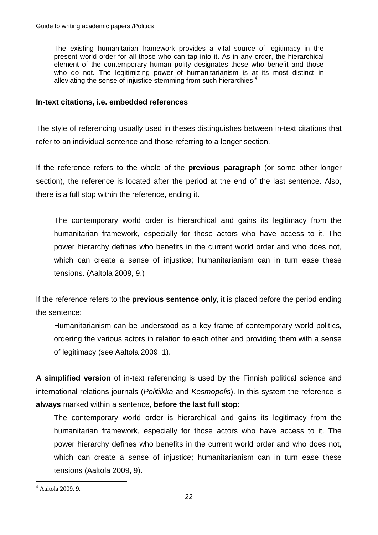The existing humanitarian framework provides a vital source of legitimacy in the present world order for all those who can tap into it. As in any order, the hierarchical element of the contemporary human polity designates those who benefit and those who do not. The legitimizing power of humanitarianism is at its most distinct in alleviating the sense of injustice stemming from such hierarchies.<sup>4</sup>

### **In-text citations, i.e. embedded references**

The style of referencing usually used in theses distinguishes between in-text citations that refer to an individual sentence and those referring to a longer section.

If the reference refers to the whole of the **previous paragraph** (or some other longer section), the reference is located after the period at the end of the last sentence. Also, there is a full stop within the reference, ending it.

The contemporary world order is hierarchical and gains its legitimacy from the humanitarian framework, especially for those actors who have access to it. The power hierarchy defines who benefits in the current world order and who does not, which can create a sense of injustice; humanitarianism can in turn ease these tensions. (Aaltola 2009, 9.)

If the reference refers to the **previous sentence only**, it is placed before the period ending the sentence:

Humanitarianism can be understood as a key frame of contemporary world politics, ordering the various actors in relation to each other and providing them with a sense of legitimacy (see Aaltola 2009, 1).

**A simplified version** of in-text referencing is used by the Finnish political science and international relations journals (*Politiikka* and *Kosmopolis*). In this system the reference is **always** marked within a sentence, **before the last full stop**:

The contemporary world order is hierarchical and gains its legitimacy from the humanitarian framework, especially for those actors who have access to it. The power hierarchy defines who benefits in the current world order and who does not, which can create a sense of injustice; humanitarianism can in turn ease these tensions (Aaltola 2009, 9).

 4 Aaltola 2009, 9.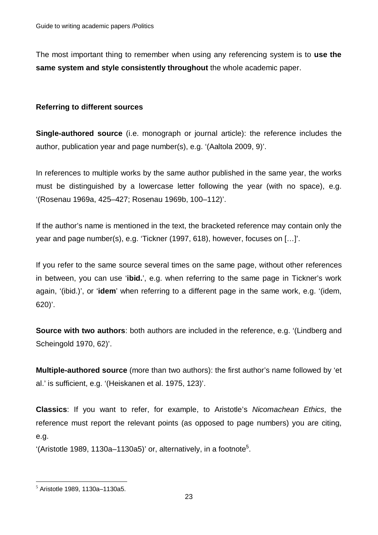The most important thing to remember when using any referencing system is to **use the same system and style consistently throughout** the whole academic paper.

#### **Referring to different sources**

**Single-authored source** (i.e. monograph or journal article): the reference includes the author, publication year and page number(s), e.g. '(Aaltola 2009, 9)'.

In references to multiple works by the same author published in the same year, the works must be distinguished by a lowercase letter following the year (with no space), e.g. '(Rosenau 1969a, 425–427; Rosenau 1969b, 100–112)'.

If the author's name is mentioned in the text, the bracketed reference may contain only the year and page number(s), e.g. 'Tickner (1997, 618), however, focuses on […]'.

If you refer to the same source several times on the same page, without other references in between, you can use '**ibid.**', e.g. when referring to the same page in Tickner's work again, '(ibid.)', or '**idem**' when referring to a different page in the same work, e.g. '(idem, 620)'.

**Source with two authors:** both authors are included in the reference, e.g. '(Lindberg and Scheingold 1970, 62)'.

**Multiple-authored source** (more than two authors): the first author's name followed by 'et al.' is sufficient, e.g. '(Heiskanen et al. 1975, 123)'.

**Classics**: If you want to refer, for example, to Aristotle's *Nicomachean Ethics*, the reference must report the relevant points (as opposed to page numbers) you are citing, e.g.

'(Aristotle 1989, 1130a–1130a5)' or, alternatively, in a footnote<sup>5</sup>.

1

 $<sup>5</sup>$  Aristotle 1989, 1130a-1130a5.</sup>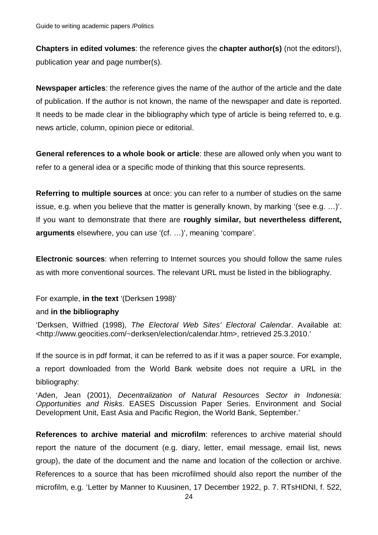**Chapters in edited volumes**: the reference gives the **chapter author(s)** (not the editors!), publication year and page number(s).

**Newspaper articles**: the reference gives the name of the author of the article and the date of publication. If the author is not known, the name of the newspaper and date is reported. It needs to be made clear in the bibliography which type of article is being referred to, e.g. news article, column, opinion piece or editorial.

**General references to a whole book or article**: these are allowed only when you want to refer to a general idea or a specific mode of thinking that this source represents.

**Referring to multiple sources** at once: you can refer to a number of studies on the same issue, e.g. when you believe that the matter is generally known, by marking '(see e.g. …)'. If you want to demonstrate that there are **roughly similar, but nevertheless different, arguments** elsewhere, you can use '(cf. …)', meaning 'compare'.

**Electronic sources**: when referring to Internet sources you should follow the same rules as with more conventional sources. The relevant URL must be listed in the bibliography.

#### For example, **in the text** '(Derksen 1998)'

#### and **in the bibliography**

'Derksen, Wilfried (1998), *The Electoral Web Sites' Electoral Calendar*. Available at: <http://www.geocities.com/~derksen/election/calendar.htm>, retrieved 25.3.2010.'

If the source is in pdf format, it can be referred to as if it was a paper source. For example,

a report downloaded from the World Bank website does not require a URL in the bibliography:

'Aden, Jean (2001), *Decentralization of Natural Resources Sector in Indonesia: Opportunities and Risks*. EASES Discussion Paper Series. Environment and Social Development Unit, East Asia and Pacific Region, the World Bank, September.'

**References to archive material and microfilm**: references to archive material should report the nature of the document (e.g. diary, letter, email message, email list, news group), the date of the document and the name and location of the collection or archive. References to a source that has been microfilmed should also report the number of the microfilm, e.g. 'Letter by Manner to Kuusinen, 17 December 1922, p. 7. RTsHIDNI, f. 522,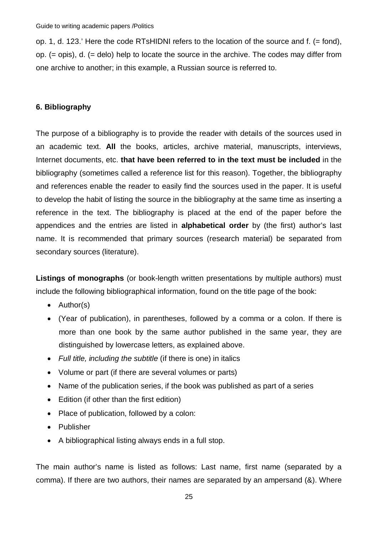op. 1, d. 123.' Here the code RTsHIDNI refers to the location of the source and f. (= fond), op. (= opis), d. (= delo) help to locate the source in the archive. The codes may differ from one archive to another; in this example, a Russian source is referred to.

## **6. Bibliography**

The purpose of a bibliography is to provide the reader with details of the sources used in an academic text. **All** the books, articles, archive material, manuscripts, interviews, Internet documents, etc. **that have been referred to in the text must be included** in the bibliography (sometimes called a reference list for this reason). Together, the bibliography and references enable the reader to easily find the sources used in the paper. It is useful to develop the habit of listing the source in the bibliography at the same time as inserting a reference in the text. The bibliography is placed at the end of the paper before the appendices and the entries are listed in **alphabetical order** by (the first) author's last name. It is recommended that primary sources (research material) be separated from secondary sources (literature).

**Listings of monographs** (or book-length written presentations by multiple authors) must include the following bibliographical information, found on the title page of the book:

- $\bullet$  Author(s)
- (Year of publication), in parentheses, followed by a comma or a colon. If there is more than one book by the same author published in the same year, they are distinguished by lowercase letters, as explained above.
- x *Full title, including the subtitle* (if there is one) in italics
- Volume or part (if there are several volumes or parts)
- Name of the publication series, if the book was published as part of a series
- $\bullet$  Edition (if other than the first edition)
- Place of publication, followed by a colon:
- Publisher
- A bibliographical listing always ends in a full stop.

The main author's name is listed as follows: Last name, first name (separated by a comma). If there are two authors, their names are separated by an ampersand (&). Where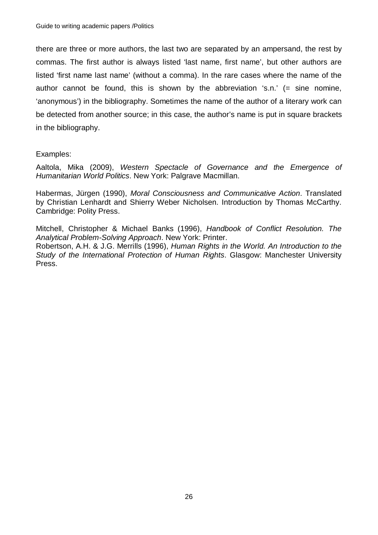there are three or more authors, the last two are separated by an ampersand, the rest by commas. The first author is always listed 'last name, first name', but other authors are listed 'first name last name' (without a comma). In the rare cases where the name of the author cannot be found, this is shown by the abbreviation 's.n.' (= sine nomine, 'anonymous') in the bibliography. Sometimes the name of the author of a literary work can be detected from another source; in this case, the author's name is put in square brackets in the bibliography.

### Examples:

Aaltola, Mika (2009), *Western Spectacle of Governance and the Emergence of Humanitarian World Politics*. New York: Palgrave Macmillan.

Habermas, Jürgen (1990), *Moral Consciousness and Communicative Action*. Translated by Christian Lenhardt and Shierry Weber Nicholsen. Introduction by Thomas McCarthy. Cambridge: Polity Press.

Mitchell, Christopher & Michael Banks (1996), *Handbook of Conflict Resolution. The Analytical Problem-Solving Approach*. New York: Printer. Robertson, A.H. & J.G. Merrills (1996), *Human Rights in the World. An Introduction to the Study of the International Protection of Human Rights*. Glasgow: Manchester University Press.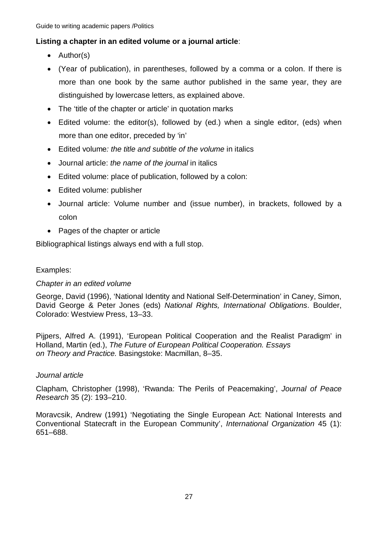## **Listing a chapter in an edited volume or a journal article**:

- $\bullet$  Author(s)
- (Year of publication), in parentheses, followed by a comma or a colon. If there is more than one book by the same author published in the same year, they are distinguished by lowercase letters, as explained above.
- The 'title of the chapter or article' in quotation marks
- $\bullet$  Edited volume: the editor(s), followed by (ed.) when a single editor, (eds) when more than one editor, preceded by 'in'
- x Edited volume*: the title and subtitle of the volume* in italics
- x Journal article: *the name of the journal* in italics
- Edited volume: place of publication, followed by a colon:
- Edited volume: publisher
- Journal article: Volume number and (issue number), in brackets, followed by a colon
- $\bullet$  Pages of the chapter or article

Bibliographical listings always end with a full stop.

## Examples:

## *Chapter in an edited volume*

George, David (1996), 'National Identity and National Self-Determination' in Caney, Simon, David George & Peter Jones (eds) *National Rights, International Obligations*. Boulder, Colorado: Westview Press, 13–33.

Pijpers, Alfred A. (1991), 'European Political Cooperation and the Realist Paradigm' in Holland, Martin (ed.), *The Future of European Political Cooperation. Essays on Theory and Practice.* Basingstoke: Macmillan, 8–35.

## *Journal article*

Clapham, Christopher (1998), 'Rwanda: The Perils of Peacemaking', *Journal of Peace Research* 35 (2): 193–210.

Moravcsik, Andrew (1991) 'Negotiating the Single European Act: National Interests and Conventional Statecraft in the European Community', *International Organization* 45 (1): 651–688.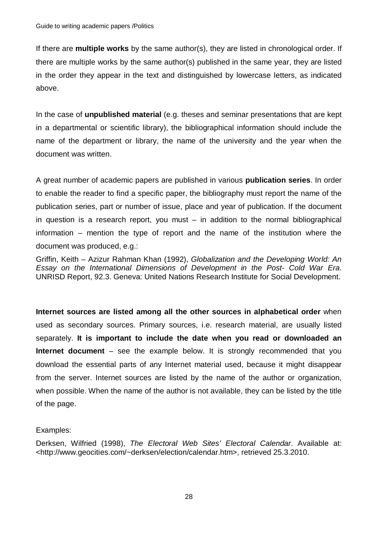If there are **multiple works** by the same author(s), they are listed in chronological order. If there are multiple works by the same author(s) published in the same year, they are listed in the order they appear in the text and distinguished by lowercase letters, as indicated above.

In the case of **unpublished material** (e.g. theses and seminar presentations that are kept in a departmental or scientific library), the bibliographical information should include the name of the department or library, the name of the university and the year when the document was written.

A great number of academic papers are published in various **publication series**. In order to enable the reader to find a specific paper, the bibliography must report the name of the publication series, part or number of issue, place and year of publication. If the document in question is a research report, you must – in addition to the normal bibliographical information – mention the type of report and the name of the institution where the document was produced, e.g.:

Griffin, Keith – Azizur Rahman Khan (1992), *Globalization and the Developing World: An Essay on the International Dimensions of Development in the Post- Cold War Era*. UNRISD Report, 92.3. Geneva: United Nations Research Institute for Social Development.

**Internet sources are listed among all the other sources in alphabetical order** when used as secondary sources. Primary sources, i.e. research material, are usually listed separately. **It is important to include the date when you read or downloaded an Internet document** – see the example below. It is strongly recommended that you download the essential parts of any Internet material used, because it might disappear from the server. Internet sources are listed by the name of the author or organization, when possible. When the name of the author is not available, they can be listed by the title of the page.

### Examples:

Derksen, Wilfried (1998), *The Electoral Web Sites' Electoral Calendar*. Available at: <http://www.geocities.com/~derksen/election/calendar.htm>, retrieved 25.3.2010.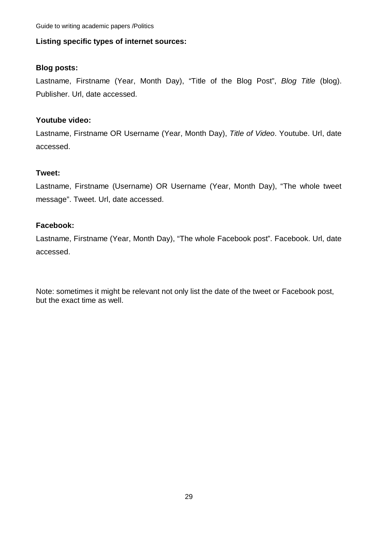## **Listing specific types of internet sources:**

## **Blog posts:**

Lastname, Firstname (Year, Month Day), "Title of the Blog Post", *Blog Title* (blog). Publisher. Url, date accessed.

## **Youtube video:**

Lastname, Firstname OR Username (Year, Month Day), *Title of Video*. Youtube. Url, date accessed.

## **Tweet:**

Lastname, Firstname (Username) OR Username (Year, Month Day), "The whole tweet message". Tweet. Url, date accessed.

## **Facebook:**

Lastname, Firstname (Year, Month Day), "The whole Facebook post". Facebook. Url, date accessed.

Note: sometimes it might be relevant not only list the date of the tweet or Facebook post, but the exact time as well.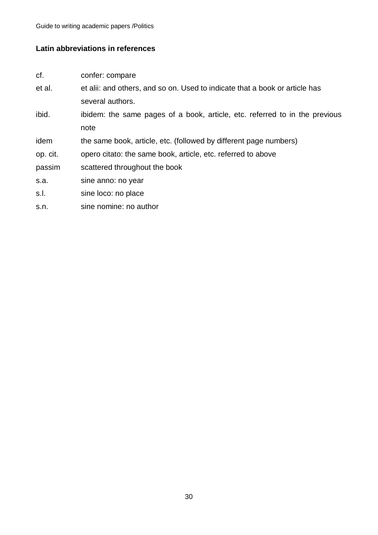## **Latin abbreviations in references**

- cf. confer: compare
- et al. et alii: and others, and so on. Used to indicate that a book or article has several authors.
- ibid. ibidem: the same pages of a book, article, etc. referred to in the previous note
- idem the same book, article, etc. (followed by different page numbers)
- op. cit. opero citato: the same book, article, etc. referred to above
- passim scattered throughout the book
- s.a. sine anno: no year
- s.l. sine loco: no place
- s.n. sine nomine: no author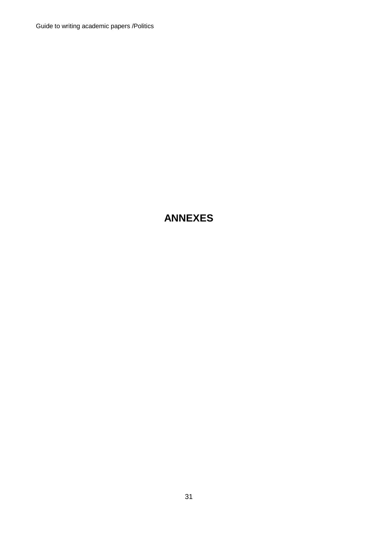## **ANNEXES**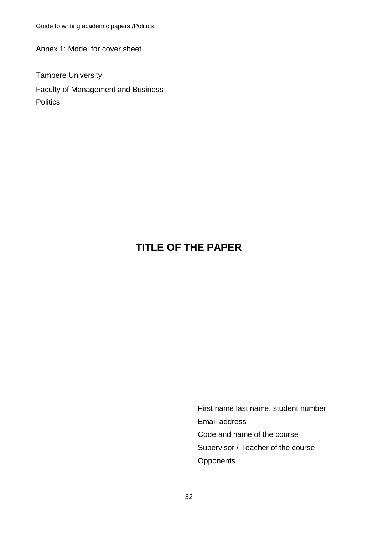Annex 1: Model for cover sheet

Tampere University Faculty of Management and Business **Politics** 

## **TITLE OF THE PAPER**

First name last name, student number Email address Code and name of the course Supervisor / Teacher of the course **Opponents**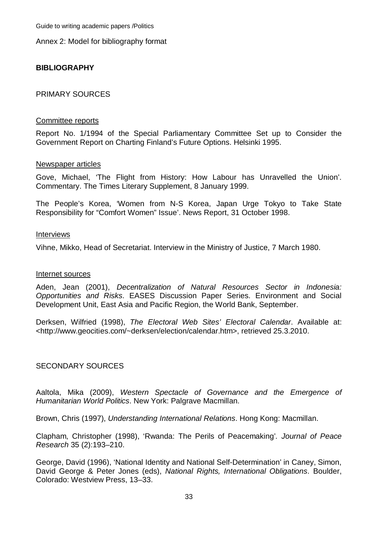Annex 2: Model for bibliography format

### **BIBLIOGRAPHY**

#### PRIMARY SOURCES

#### Committee reports

Report No. 1/1994 of the Special Parliamentary Committee Set up to Consider the Government Report on Charting Finland's Future Options. Helsinki 1995.

#### Newspaper articles

Gove, Michael, 'The Flight from History: How Labour has Unravelled the Union'. Commentary. The Times Literary Supplement, 8 January 1999.

The People's Korea, 'Women from N-S Korea, Japan Urge Tokyo to Take State Responsibility for "Comfort Women" Issue'. News Report, 31 October 1998.

#### **Interviews**

Vihne, Mikko, Head of Secretariat. Interview in the Ministry of Justice, 7 March 1980.

#### Internet sources

Aden, Jean (2001), *Decentralization of Natural Resources Sector in Indonesia: Opportunities and Risks*. EASES Discussion Paper Series. Environment and Social Development Unit, East Asia and Pacific Region, the World Bank, September.

Derksen, Wilfried (1998), *The Electoral Web Sites' Electoral Calendar*. Available at: <http://www.geocities.com/~derksen/election/calendar.htm>, retrieved 25.3.2010.

#### SECONDARY SOURCES

Aaltola, Mika (2009), *Western Spectacle of Governance and the Emergence of Humanitarian World Politics*. New York: Palgrave Macmillan.

Brown, Chris (1997), *Understanding International Relations*. Hong Kong: Macmillan.

Clapham, Christopher (1998), 'Rwanda: The Perils of Peacemaking'*. Journal of Peace Research* 35 (2):193–210.

George, David (1996), 'National Identity and National Self-Determination' in Caney, Simon, David George & Peter Jones (eds), *National Rights, International Obligations*. Boulder, Colorado: Westview Press, 13–33.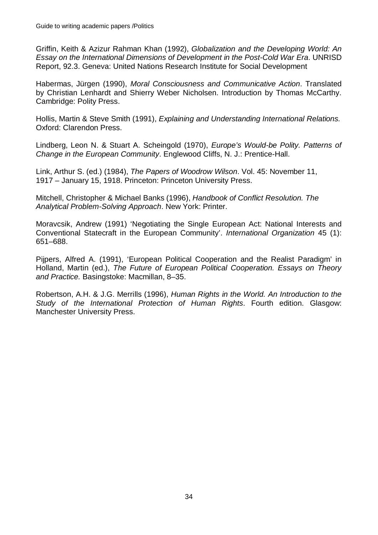Griffin, Keith & Azizur Rahman Khan (1992), *Globalization and the Developing World: An Essay on the International Dimensions of Development in the Post-Cold War Era*. UNRISD Report, 92.3. Geneva: United Nations Research Institute for Social Development

Habermas, Jürgen (1990), *Moral Consciousness and Communicative Action*. Translated by Christian Lenhardt and Shierry Weber Nicholsen. Introduction by Thomas McCarthy. Cambridge: Polity Press.

Hollis, Martin & Steve Smith (1991), *Explaining and Understanding International Relations.* Oxford: Clarendon Press.

Lindberg, Leon N. & Stuart A. Scheingold (1970), *Europe's Would-be Polity. Patterns of Change in the European Community*. Englewood Cliffs, N. J.: Prentice-Hall.

Link, Arthur S. (ed.) (1984), *The Papers of Woodrow Wilson*. Vol. 45: November 11, 1917 – January 15, 1918. Princeton: Princeton University Press.

Mitchell, Christopher & Michael Banks (1996), *Handbook of Conflict Resolution. The Analytical Problem-Solving Approach*. New York: Printer.

Moravcsik, Andrew (1991) 'Negotiating the Single European Act: National Interests and Conventional Statecraft in the European Community'. *International Organization* 45 (1): 651–688.

Pijpers, Alfred A. (1991), 'European Political Cooperation and the Realist Paradigm' in Holland, Martin (ed.), *The Future of European Political Cooperation. Essays on Theory and Practice.* Basingstoke: Macmillan, 8–35.

Robertson, A.H. & J.G. Merrills (1996), *Human Rights in the World. An Introduction to the Study of the International Protection of Human Rights*. Fourth edition. Glasgow: Manchester University Press.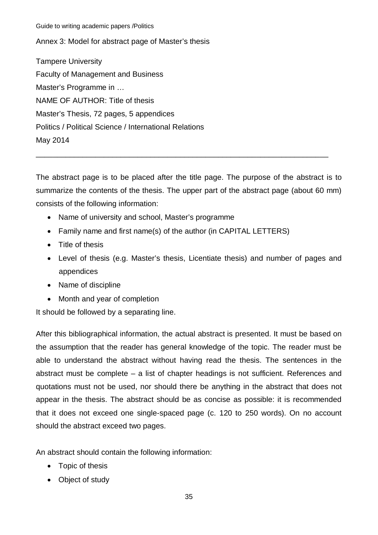Annex 3: Model for abstract page of Master's thesis

Tampere University Faculty of Management and Business Master's Programme in … NAME OF AUTHOR: Title of thesis Master's Thesis, 72 pages, 5 appendices Politics / Political Science / International Relations May 2014

The abstract page is to be placed after the title page. The purpose of the abstract is to summarize the contents of the thesis. The upper part of the abstract page (about 60 mm) consists of the following information:

\_\_\_\_\_\_\_\_\_\_\_\_\_\_\_\_\_\_\_\_\_\_\_\_\_\_\_\_\_\_\_\_\_\_\_\_\_\_\_\_\_\_\_\_\_\_\_\_\_\_\_\_\_\_\_\_\_\_\_\_\_\_\_\_\_\_\_\_\_

- Name of university and school, Master's programme
- Family name and first name(s) of the author (in CAPITAL LETTERS)
- $\bullet$  Title of thesis
- Level of thesis (e.g. Master's thesis, Licentiate thesis) and number of pages and appendices
- Name of discipline
- Month and year of completion

It should be followed by a separating line.

After this bibliographical information, the actual abstract is presented. It must be based on the assumption that the reader has general knowledge of the topic. The reader must be able to understand the abstract without having read the thesis. The sentences in the abstract must be complete – a list of chapter headings is not sufficient. References and quotations must not be used, nor should there be anything in the abstract that does not appear in the thesis. The abstract should be as concise as possible: it is recommended that it does not exceed one single-spaced page (c. 120 to 250 words). On no account should the abstract exceed two pages.

An abstract should contain the following information:

- $\bullet$  Topic of thesis
- Object of study